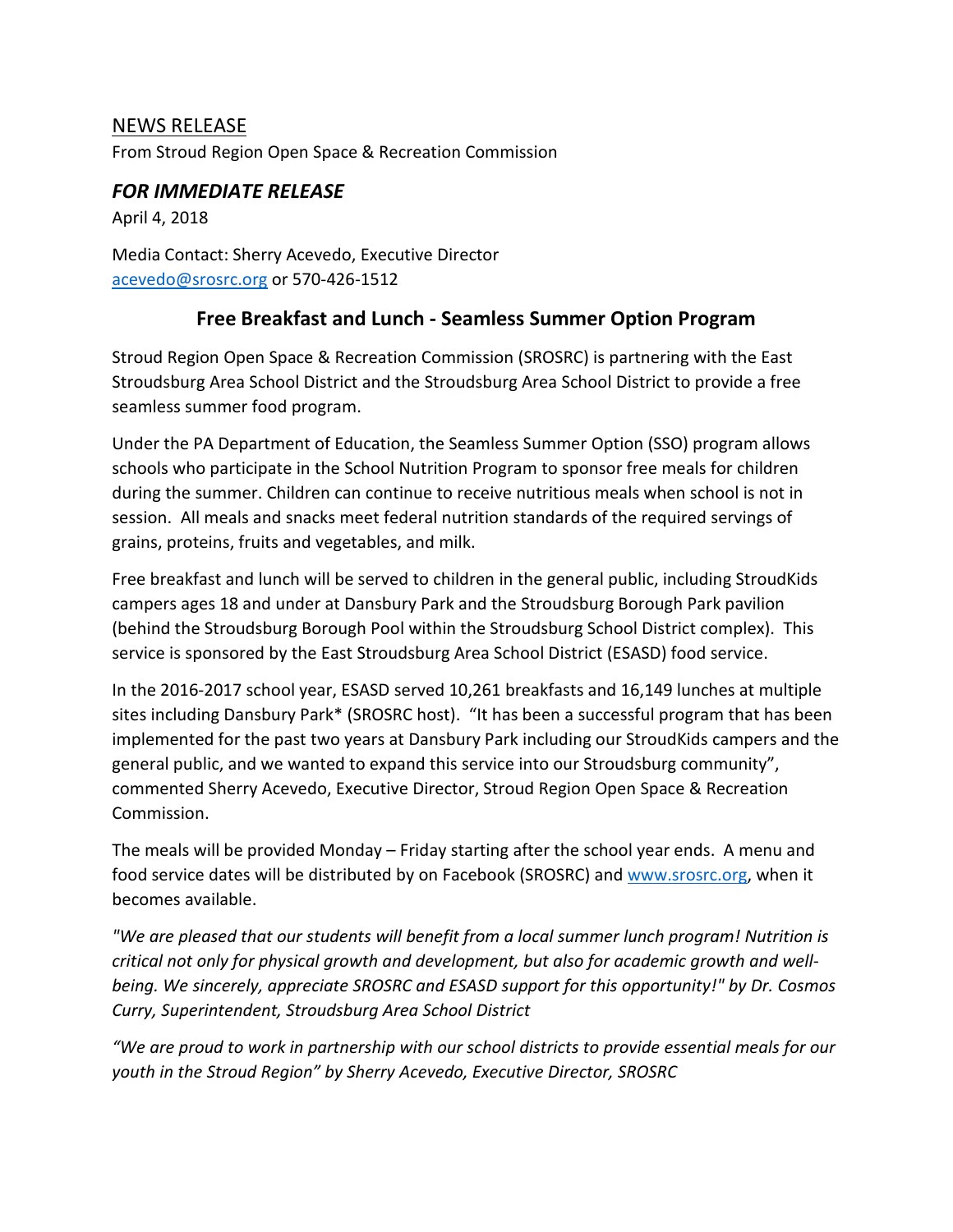## NEWS RELEASE

From Stroud Region Open Space & Recreation Commission

## *FOR IMMEDIATE RELEASE*

April 4, 2018

Media Contact: Sherry Acevedo, Executive Director [acevedo@srosrc.org](mailto:acevedo@srosrc.org) or 570-426-1512

## **Free Breakfast and Lunch - Seamless Summer Option Program**

Stroud Region Open Space & Recreation Commission (SROSRC) is partnering with the East Stroudsburg Area School District and the Stroudsburg Area School District to provide a free seamless summer food program.

Under the PA Department of Education, the Seamless Summer Option (SSO) program allows schools who participate in the School Nutrition Program to sponsor free meals for children during the summer. Children can continue to receive nutritious meals when school is not in session. All meals and snacks meet federal nutrition standards of the required servings of grains, proteins, fruits and vegetables, and milk.

Free breakfast and lunch will be served to children in the general public, including StroudKids campers ages 18 and under at Dansbury Park and the Stroudsburg Borough Park pavilion (behind the Stroudsburg Borough Pool within the Stroudsburg School District complex). This service is sponsored by the East Stroudsburg Area School District (ESASD) food service.

In the 2016-2017 school year, ESASD served 10,261 breakfasts and 16,149 lunches at multiple sites including Dansbury Park\* (SROSRC host). "It has been a successful program that has been implemented for the past two years at Dansbury Park including our StroudKids campers and the general public, and we wanted to expand this service into our Stroudsburg community", commented Sherry Acevedo, Executive Director, Stroud Region Open Space & Recreation Commission.

The meals will be provided Monday – Friday starting after the school year ends. A menu and food service dates will be distributed by on Facebook (SROSRC) and [www.srosrc.org,](http://www.srosrc.org/) when it becomes available.

*"We are pleased that our students will benefit from a local summer lunch program! Nutrition is critical not only for physical growth and development, but also for academic growth and wellbeing. We sincerely, appreciate SROSRC and ESASD support for this opportunity!" by Dr. Cosmos Curry, Superintendent, Stroudsburg Area School District* 

*"We are proud to work in partnership with our school districts to provide essential meals for our youth in the Stroud Region" by Sherry Acevedo, Executive Director, SROSRC*